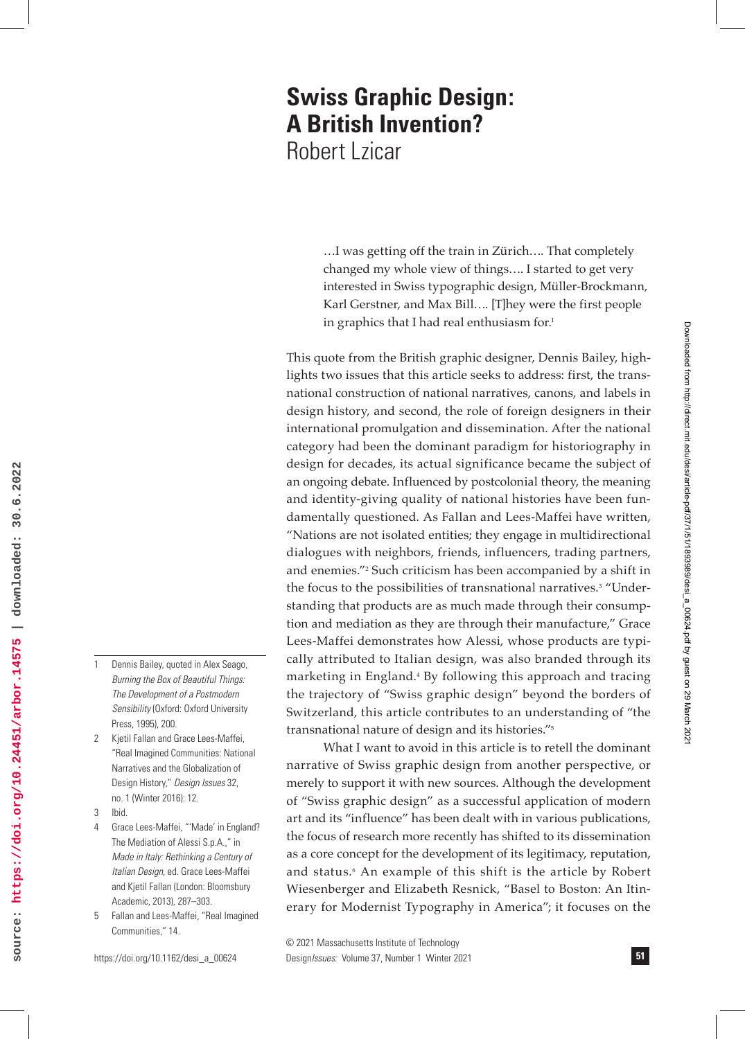# **Swiss Graphic Design: A British Invention?** Robert Lzicar

…I was getting off the train in Zürich…. That completely changed my whole view of things…. I started to get very interested in Swiss typographic design, Müller-Brockmann, Karl Gerstner, and Max Bill…. [T]hey were the first people in graphics that I had real enthusiasm for.<sup>1</sup>

This quote from the British graphic designer, Dennis Bailey, highlights two issues that this article seeks to address: first, the transnational construction of national narratives, canons, and labels in design history, and second, the role of foreign designers in their international promulgation and dissemination. After the national category had been the dominant paradigm for historiography in design for decades, its actual significance became the subject of an ongoing debate. Influenced by postcolonial theory, the meaning and identity-giving quality of national histories have been fundamentally questioned. As Fallan and Lees-Maffei have written, "Nations are not isolated entities; they engage in multidirectional dialogues with neighbors, friends, influencers, trading partners, and enemies."2 Such criticism has been accompanied by a shift in the focus to the possibilities of transnational narratives.<sup>3</sup> "Understanding that products are as much made through their consumption and mediation as they are through their manufacture," Grace Lees-Maffei demonstrates how Alessi, whose products are typically attributed to Italian design, was also branded through its marketing in England.4 By following this approach and tracing the trajectory of "Swiss graphic design" beyond the borders of Switzerland, this article contributes to an understanding of "the transnational nature of design and its histories."5

What I want to avoid in this article is to retell the dominant narrative of Swiss graphic design from another perspective, or merely to support it with new sources. Although the development of "Swiss graphic design" as a successful application of modern art and its "influence" has been dealt with in various publications, the focus of research more recently has shifted to its dissemination as a core concept for the development of its legitimacy, reputation, and status.6 An example of this shift is the article by Robert Wiesenberger and Elizabeth Resnick, "Basel to Boston: An Itinerary for Modernist Typography in America"; it focuses on the

© 2021 Massachusetts Institute of Technology Design*Issues:* Volume 37, Number 1 Winter 2021

- source: https://doi.org/10.24451/arbor.14575 | downloaded: 30.6.2022 **source: https://doi.org/10.24451/arbor.14575 | downloaded: 30.6.2022**
- 1 Dennis Bailey, quoted in Alex Seago, *Burning the Box of Beautiful Things: The Development of a Postmodern Sensibility* (Oxford: Oxford University Press, 1995), 200.
- 2 Kjetil Fallan and Grace Lees-Maffei, "Real Imagined Communities: National Narratives and the Globalization of Design History," *Design Issues* 32, no. 1 (Winter 2016): 12.
- 3 Ibid.
- Grace Lees-Maffei, "'Made' in England? The Mediation of Alessi S.p.A.," in *Made in Italy: Rethinking a Century of Italian Design,* ed. Grace Lees-Maffei and Kjetil Fallan (London: Bloomsbury Academic, 2013), 287–303.
- 5 Fallan and Lees-Maffei, "Real Imagined Communities," 14.

Downloaded from http://direct.mit.edu/desi/article-pdf/37/1/51/1893989/desi\_a\_00624.pdf by guest on 29 March 2021

Downloaded from http://direct.mit.edu/desi/article-pdf/37/1/51/1893989/desi\_a\_00624.pdf by guest on 29 March 202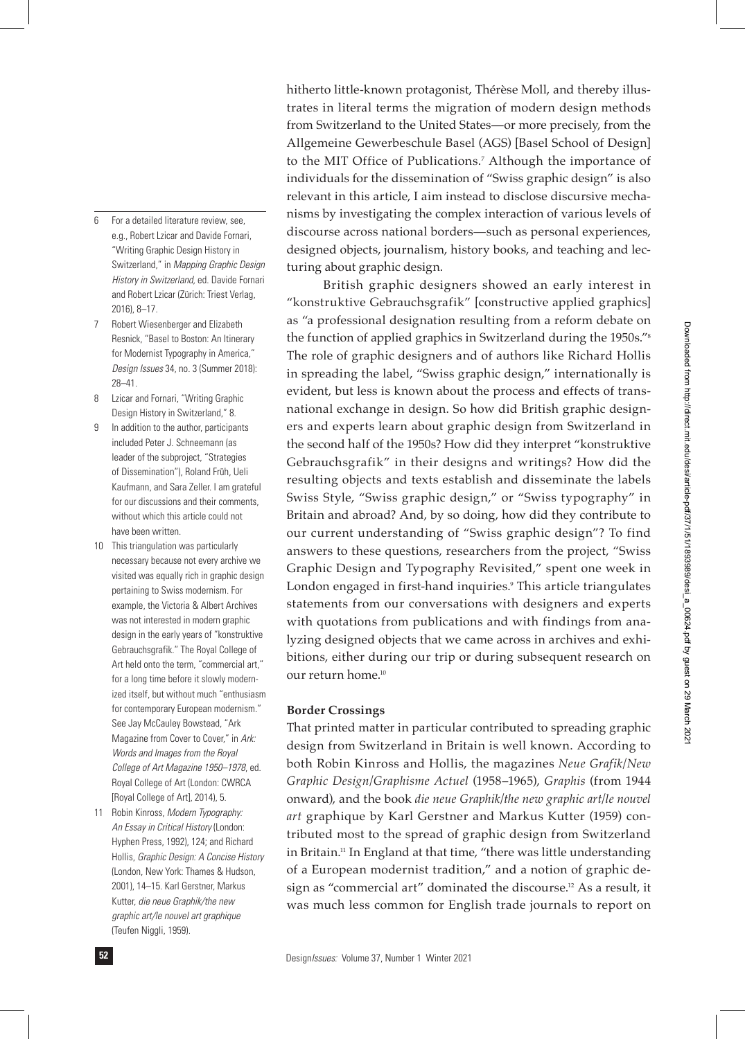- 6 For a detailed literature review, see, e.g., Robert Lzicar and Davide Fornari, "Writing Graphic Design History in Switzerland," in *Mapping Graphic Design History in Switzerland,* ed. Davide Fornari and Robert Lzicar (Zürich: Triest Verlag, 2016), 8–17.
- 7 Robert Wiesenberger and Elizabeth Resnick, "Basel to Boston: An Itinerary for Modernist Typography in America," *Design Issues* 34, no. 3 (Summer 2018): 28–41.
- 8 Lzicar and Fornari, "Writing Graphic Design History in Switzerland," 8.
- 9 In addition to the author, participants included Peter J. Schneemann (as leader of the subproject, "Strategies of Dissemination"), Roland Früh, Ueli Kaufmann, and Sara Zeller. I am grateful for our discussions and their comments, without which this article could not have been written.
- 10 This triangulation was particularly necessary because not every archive we visited was equally rich in graphic design pertaining to Swiss modernism. For example, the Victoria & Albert Archives was not interested in modern graphic design in the early years of "konstruktive Gebrauchsgrafik." The Royal College of Art held onto the term, "commercial art," for a long time before it slowly modernized itself, but without much "enthusiasm for contemporary European modernism." See Jay McCauley Bowstead, "Ark Magazine from Cover to Cover," in *Ark: Words and Images from the Royal College of Art Magazine 1950–1978*, ed. Royal College of Art (London: CWRCA [Royal College of Art], 2014), 5.
- 11 Robin Kinross, *Modern Typography: An Essay in Critical History* (London: Hyphen Press, 1992), 124; and Richard Hollis, *Graphic Design: A Concise History* (London, New York: Thames & Hudson, 2001), 14–15. Karl Gerstner, Markus Kutter, *die neue Graphik/the new graphic art/le nouvel art graphique* (Teufen Niggli, 1959).

hitherto little-known protagonist, Thérèse Moll, and thereby illustrates in literal terms the migration of modern design methods from Switzerland to the United States—or more precisely, from the Allgemeine Gewerbeschule Basel (AGS) [Basel School of Design] to the MIT Office of Publications.7 Although the importance of individuals for the dissemination of "Swiss graphic design" is also relevant in this article, I aim instead to disclose discursive mechanisms by investigating the complex interaction of various levels of discourse across national borders—such as personal experiences, designed objects, journalism, history books, and teaching and lecturing about graphic design.

British graphic designers showed an early interest in "konstruktive Gebrauchsgrafik" [constructive applied graphics] as "a professional designation resulting from a reform debate on the function of applied graphics in Switzerland during the 1950s."8 The role of graphic designers and of authors like Richard Hollis in spreading the label, "Swiss graphic design," internationally is evident, but less is known about the process and effects of transnational exchange in design. So how did British graphic designers and experts learn about graphic design from Switzerland in the second half of the 1950s? How did they interpret "konstruktive Gebrauchsgrafik" in their designs and writings? How did the resulting objects and texts establish and disseminate the labels Swiss Style, "Swiss graphic design," or "Swiss typography" in Britain and abroad? And, by so doing, how did they contribute to our current understanding of "Swiss graphic design"? To find answers to these questions, researchers from the project, "Swiss Graphic Design and Typography Revisited," spent one week in London engaged in first-hand inquiries.9 This article triangulates statements from our conversations with designers and experts with quotations from publications and with findings from analyzing designed objects that we came across in archives and exhibitions, either during our trip or during subsequent research on our return home.10

### **Border Crossings**

That printed matter in particular contributed to spreading graphic design from Switzerland in Britain is well known. According to both Robin Kinross and Hollis, the magazines *Neue Grafik/New Graphic Design/Graphisme Actuel* (1958–1965), *Graphis* (from 1944 onward), and the book *die neue Graphik/the new graphic art/le nouvel art* graphique by Karl Gerstner and Markus Kutter (1959) contributed most to the spread of graphic design from Switzerland in Britain.11 In England at that time, "there was little understanding of a European modernist tradition," and a notion of graphic design as "commercial art" dominated the discourse.12 As a result, it was much less common for English trade journals to report on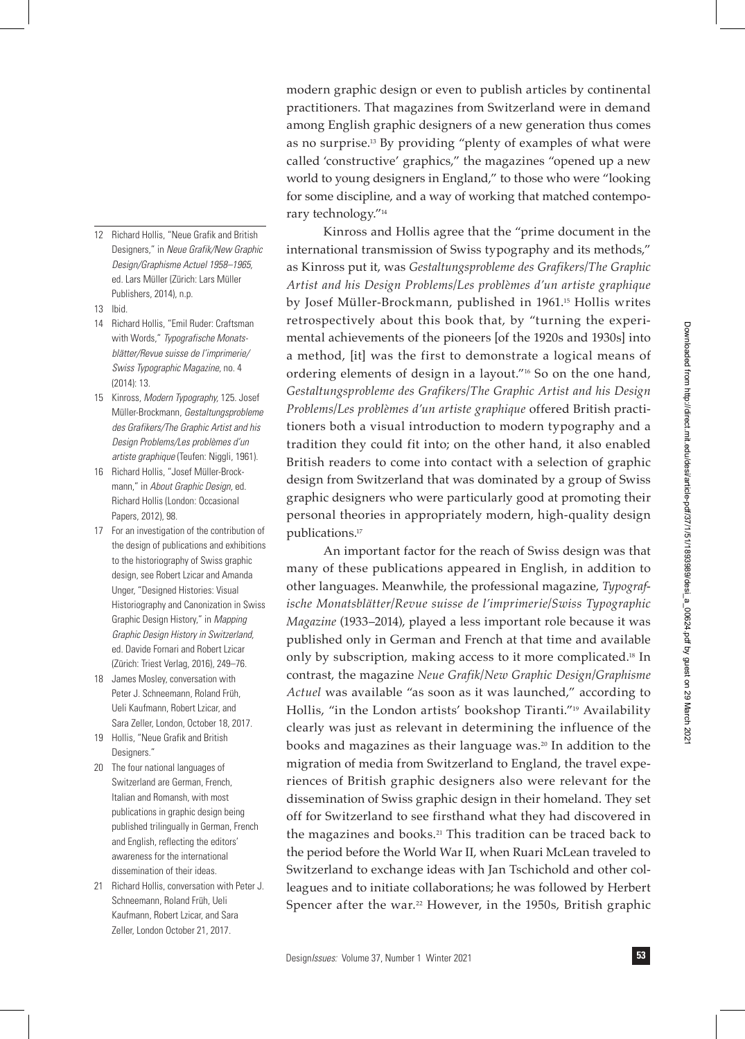modern graphic design or even to publish articles by continental practitioners. That magazines from Switzerland were in demand among English graphic designers of a new generation thus comes as no surprise.13 By providing "plenty of examples of what were called 'constructive' graphics," the magazines "opened up a new world to young designers in England," to those who were "looking for some discipline, and a way of working that matched contemporary technology."14

Kinross and Hollis agree that the "prime document in the international transmission of Swiss typography and its methods," as Kinross put it, was *Gestaltungsprobleme des Grafikers/The Graphic Artist and his Design Problems/Les problèmes d'un artiste graphique* by Josef Müller-Brockmann, published in 1961.15 Hollis writes retrospectively about this book that, by "turning the experimental achievements of the pioneers [of the 1920s and 1930s] into a method, [it] was the first to demonstrate a logical means of ordering elements of design in a layout."16 So on the one hand, *Gestaltungsprobleme des Grafikers/The Graphic Artist and his Design Problems/Les problèmes d'un artiste graphique* offered British practitioners both a visual introduction to modern typography and a tradition they could fit into; on the other hand, it also enabled British readers to come into contact with a selection of graphic design from Switzerland that was dominated by a group of Swiss graphic designers who were particularly good at promoting their personal theories in appropriately modern, high-quality design publications.17

An important factor for the reach of Swiss design was that many of these publications appeared in English, in addition to other languages. Meanwhile, the professional magazine, *Typografische Monatsblätter/Revue suisse de l'imprimerie/Swiss Typographic Magazine* (1933–2014), played a less important role because it was published only in German and French at that time and available only by subscription, making access to it more complicated.18 In contrast, the magazine *Neue Grafik/New Graphic Design/Graphisme Actuel* was available "as soon as it was launched," according to Hollis, "in the London artists' bookshop Tiranti."<sup>19</sup> Availability clearly was just as relevant in determining the influence of the books and magazines as their language was.20 In addition to the migration of media from Switzerland to England, the travel experiences of British graphic designers also were relevant for the dissemination of Swiss graphic design in their homeland. They set off for Switzerland to see firsthand what they had discovered in the magazines and books.<sup>21</sup> This tradition can be traced back to the period before the World War II, when Ruari McLean traveled to Switzerland to exchange ideas with Jan Tschichold and other colleagues and to initiate collaborations; he was followed by Herbert Spencer after the war.<sup>22</sup> However, in the 1950s, British graphic

- 12 Richard Hollis, "Neue Grafik and British Designers," in *Neue Grafik/New Graphic Design/Graphisme Actuel 1958–1965,* ed. Lars Müller (Zürich: Lars Müller Publishers, 2014), n.p.
- 13 Ibid.
- 14 Richard Hollis, "Emil Ruder: Craftsman with Words," *Typografische Monatsblätter/Revue suisse de l'imprimerie/ Swiss Typographic Magazine,* no. 4 (2014): 13.
- 15 Kinross, *Modern Typography,* 125. Josef Müller-Brockmann, *Gestaltungsprobleme des Grafikers/The Graphic Artist and his Design Problems/Les problèmes d'un artiste graphique* (Teufen: Niggli, 1961).
- 16 Richard Hollis, "Josef Müller-Brockmann," in *About Graphic Design,* ed. Richard Hollis (London: Occasional Papers, 2012), 98.
- 17 For an investigation of the contribution of the design of publications and exhibitions to the historiography of Swiss graphic design, see Robert Lzicar and Amanda Unger, "Designed Histories: Visual Historiography and Canonization in Swiss Graphic Design History," in *Mapping Graphic Design History in Switzerland,* ed. Davide Fornari and Robert Lzicar (Zürich: Triest Verlag, 2016), 249–76.
- 18 James Mosley, conversation with Peter J. Schneemann, Roland Früh, Ueli Kaufmann, Robert Lzicar, and Sara Zeller, London, October 18, 2017.
- 19 Hollis, "Neue Grafik and British Designers."
- 20 The four national languages of Switzerland are German, French, Italian and Romansh, with most publications in graphic design being published trilingually in German, French and English, reflecting the editors' awareness for the international dissemination of their ideas.
- 21 Richard Hollis, conversation with Peter J. Schneemann, Roland Früh, Ueli Kaufmann, Robert Lzicar, and Sara Zeller, London October 21, 2017.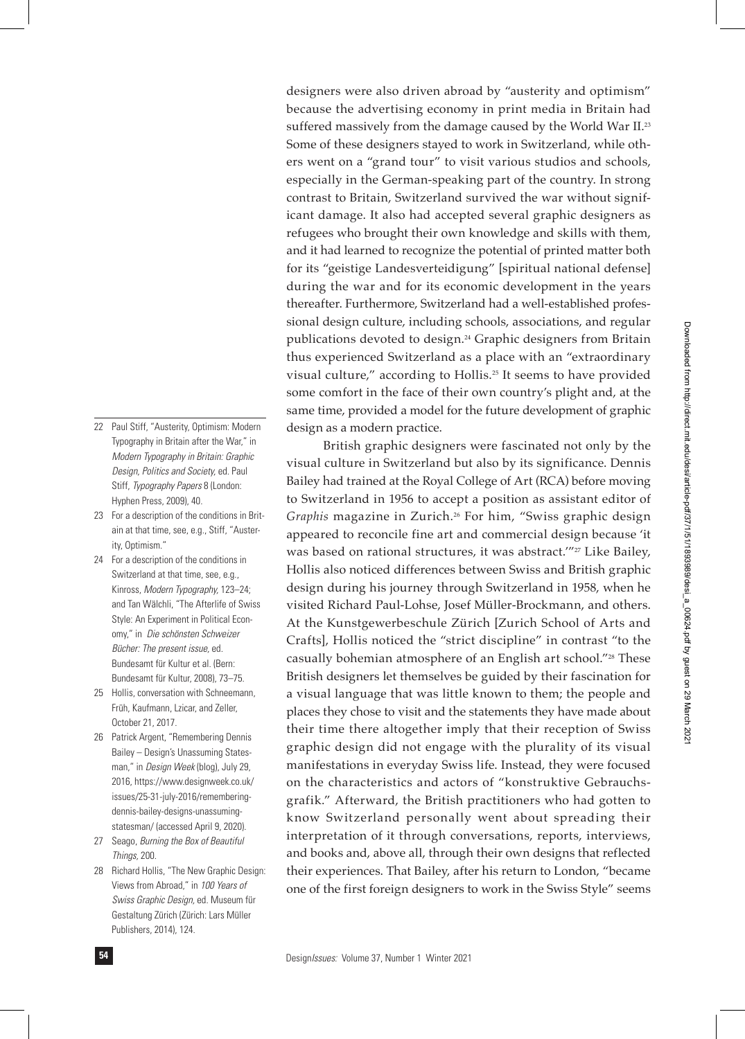designers were also driven abroad by "austerity and optimism" because the advertising economy in print media in Britain had suffered massively from the damage caused by the World War II.<sup>23</sup> Some of these designers stayed to work in Switzerland, while others went on a "grand tour" to visit various studios and schools, especially in the German-speaking part of the country. In strong contrast to Britain, Switzerland survived the war without significant damage. It also had accepted several graphic designers as refugees who brought their own knowledge and skills with them, and it had learned to recognize the potential of printed matter both for its "geistige Landesverteidigung" [spiritual national defense] during the war and for its economic development in the years thereafter. Furthermore, Switzerland had a well-established professional design culture, including schools, associations, and regular publications devoted to design.<sup>24</sup> Graphic designers from Britain thus experienced Switzerland as a place with an "extraordinary visual culture," according to Hollis.25 It seems to have provided some comfort in the face of their own country's plight and, at the same time, provided a model for the future development of graphic design as a modern practice.

British graphic designers were fascinated not only by the visual culture in Switzerland but also by its significance. Dennis Bailey had trained at the Royal College of Art (RCA) before moving to Switzerland in 1956 to accept a position as assistant editor of Graphis magazine in Zurich.<sup>26</sup> For him, "Swiss graphic design appeared to reconcile fine art and commercial design because 'it was based on rational structures, it was abstract."<sup>27</sup> Like Bailey, Hollis also noticed differences between Swiss and British graphic design during his journey through Switzerland in 1958, when he visited Richard Paul-Lohse, Josef Müller-Brockmann, and others. At the Kunstgewerbeschule Zürich [Zurich School of Arts and Crafts], Hollis noticed the "strict discipline" in contrast "to the casually bohemian atmosphere of an English art school."<sup>28</sup> These British designers let themselves be guided by their fascination for a visual language that was little known to them; the people and places they chose to visit and the statements they have made about their time there altogether imply that their reception of Swiss graphic design did not engage with the plurality of its visual manifestations in everyday Swiss life. Instead, they were focused on the characteristics and actors of "konstruktive Gebrauchsgrafik." Afterward, the British practitioners who had gotten to know Switzerland personally went about spreading their interpretation of it through conversations, reports, interviews, and books and, above all, through their own designs that reflected their experiences. That Bailey, after his return to London, "became one of the first foreign designers to work in the Swiss Style" seems

- 22 Paul Stiff, "Austerity, Optimism: Modern Typography in Britain after the War," in *Modern Typography in Britain: Graphic Design, Politics and Society,* ed. Paul Stiff, *Typography Papers* 8 (London: Hyphen Press, 2009), 40.
- 23 For a description of the conditions in Britain at that time, see, e.g., Stiff, "Austerity, Optimism."
- 24 For a description of the conditions in Switzerland at that time, see, e.g., Kinross, *Modern Typography,* 123–24; and Tan Wälchli, "The Afterlife of Swiss Style: An Experiment in Political Economy," in *Die schönsten Schweizer Bücher: The present issue,* ed. Bundesamt für Kultur et al. (Bern: Bundesamt für Kultur, 2008), 73–75.
- 25 Hollis, conversation with Schneemann, Früh, Kaufmann, Lzicar, and Zeller, October 21, 2017.
- 26 Patrick Argent, "Remembering Dennis Bailey – Design's Unassuming Statesman," in *Design Week* (blog), July 29, 2016, https://www.designweek.co.uk/ issues/25-31-july-2016/rememberingdennis-bailey-designs-unassumingstatesman/ (accessed April 9, 2020).
- 27 Seago, *Burning the Box of Beautiful Things,* 200.
- 28 Richard Hollis, "The New Graphic Design: Views from Abroad," in *100 Years of Swiss Graphic Design,* ed. Museum für Gestaltung Zürich (Zürich: Lars Müller Publishers, 2014), 124.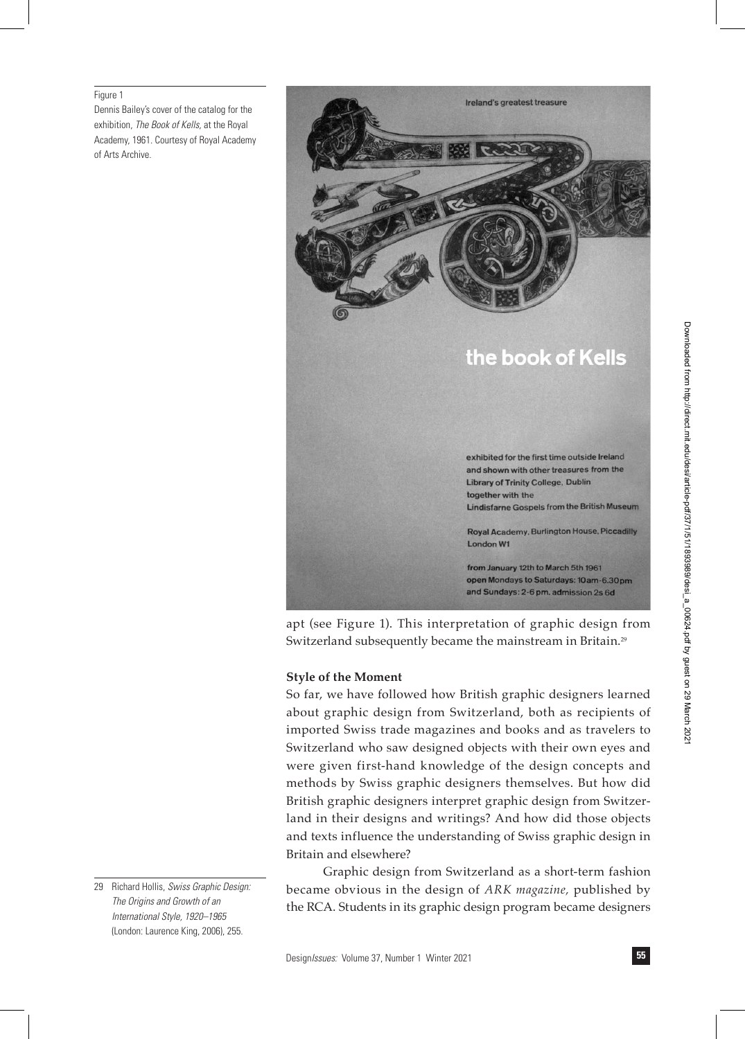#### Figure 1

Dennis Bailey's cover of the catalog for the exhibition, *The Book of Kells,* at the Royal Academy, 1961. Courtesy of Royal Academy of Arts Archive.



apt (see Figure 1). This interpretation of graphic design from Switzerland subsequently became the mainstream in Britain.<sup>29</sup>

#### **Style of the Moment**

So far, we have followed how British graphic designers learned about graphic design from Switzerland, both as recipients of imported Swiss trade magazines and books and as travelers to Switzerland who saw designed objects with their own eyes and were given first-hand knowledge of the design concepts and methods by Swiss graphic designers themselves. But how did British graphic designers interpret graphic design from Switzerland in their designs and writings? And how did those objects and texts influence the understanding of Swiss graphic design in Britain and elsewhere?

Graphic design from Switzerland as a short-term fashion became obvious in the design of *ARK magazine,* published by the RCA. Students in its graphic design program became designers

<sup>29</sup> Richard Hollis, *Swiss Graphic Design: The Origins and Growth of an International Style, 1920–1965* (London: Laurence King, 2006), 255.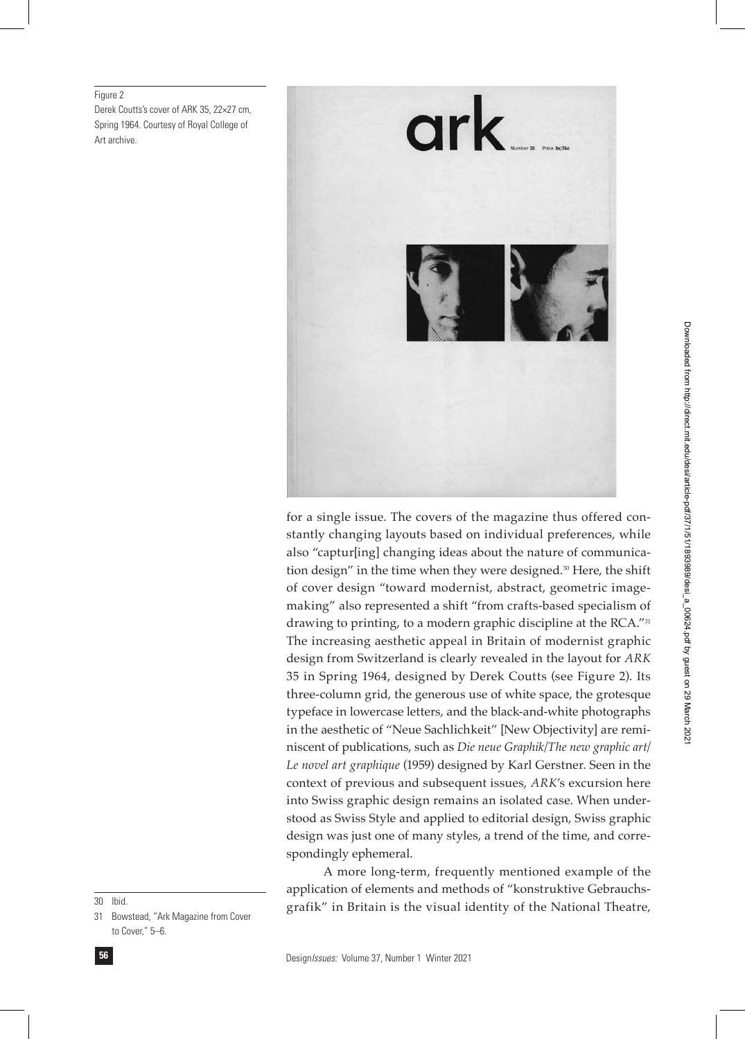Figure 2

Derek Coutts's cover of ARK 35, 22×27 cm, Spring 1964. Courtesy of Royal College of Art archive.



for a single issue. The covers of the magazine thus offered constantly changing layouts based on individual preferences, while also "captur[ing] changing ideas about the nature of communication design" in the time when they were designed.<sup>30</sup> Here, the shift of cover design "toward modernist, abstract, geometric imagemaking" also represented a shift "from crafts-based specialism of drawing to printing, to a modern graphic discipline at the RCA."31 The increasing aesthetic appeal in Britain of modernist graphic design from Switzerland is clearly revealed in the layout for *ARK* 35 in Spring 1964, designed by Derek Coutts (see Figure 2). Its three-column grid, the generous use of white space, the grotesque typeface in lowercase letters, and the black-and-white photographs in the aesthetic of "Neue Sachlichkeit" [New Objectivity] are reminiscent of publications, such as *Die neue Graphik/The new graphic art/ Le novel art graphique* (1959) designed by Karl Gerstner. Seen in the context of previous and subsequent issues, *ARK*'s excursion here into Swiss graphic design remains an isolated case. When understood as Swiss Style and applied to editorial design, Swiss graphic design was just one of many styles, a trend of the time, and correspondingly ephemeral.

A more long-term, frequently mentioned example of the application of elements and methods of "konstruktive Gebrauchsgrafik" in Britain is the visual identity of the National Theatre,

30 Ibid.

31 Bowstead, "Ark Magazine from Cover to Cover," 5–6.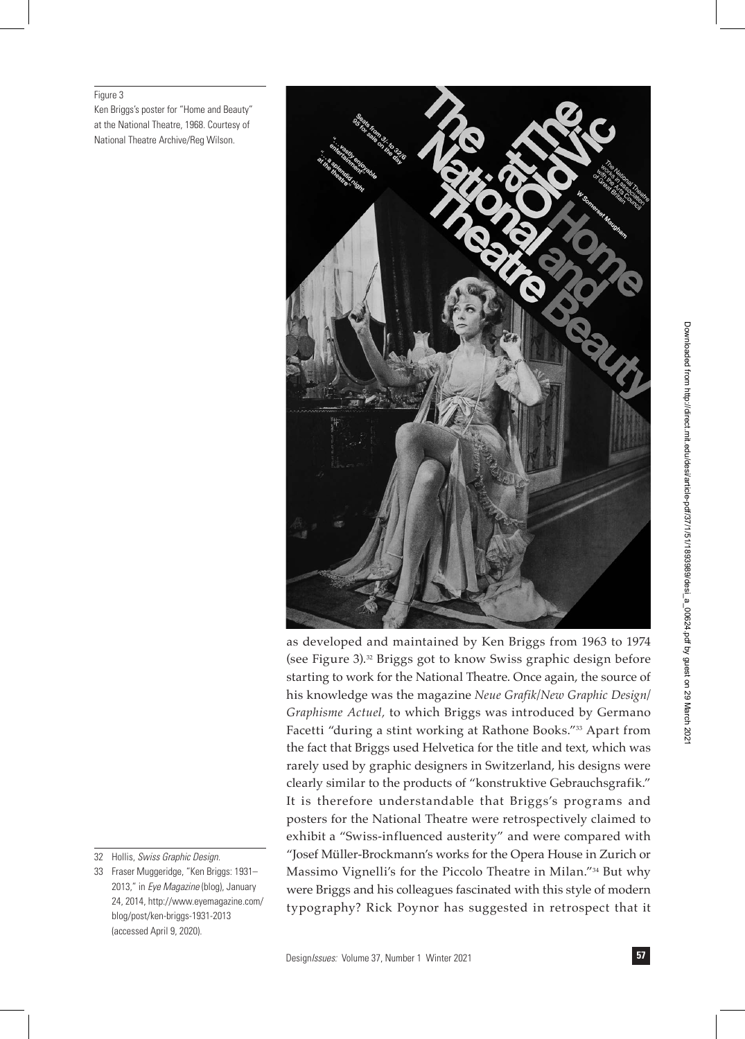#### Figure 3

Ken Briggs's poster for "Home and Beauty" at the National Theatre, 1968. Courtesy of National Theatre Archive/Reg Wilson.



as developed and maintained by Ken Briggs from 1963 to 1974 (see Figure 3).32 Briggs got to know Swiss graphic design before starting to work for the National Theatre. Once again, the source of his knowledge was the magazine *Neue Grafik/New Graphic Design/ Graphisme Actuel,* to which Briggs was introduced by Germano Facetti "during a stint working at Rathone Books."33 Apart from the fact that Briggs used Helvetica for the title and text, which was rarely used by graphic designers in Switzerland, his designs were clearly similar to the products of "konstruktive Gebrauchsgrafik." It is therefore understandable that Briggs's programs and posters for the National Theatre were retrospectively claimed to exhibit a "Swiss-influenced austerity" and were compared with "Josef Müller-Brockmann's works for the Opera House in Zurich or Massimo Vignelli's for the Piccolo Theatre in Milan."34 But why were Briggs and his colleagues fascinated with this style of modern typography? Rick Poynor has suggested in retrospect that it

<sup>32</sup> Hollis, *Swiss Graphic Design.*

<sup>33</sup> Fraser Muggeridge, "Ken Briggs: 1931– 2013," in *Eye Magazine* (blog), January 24, 2014, http://www.eyemagazine.com/ blog/post/ken-briggs-1931-2013 (accessed April 9, 2020).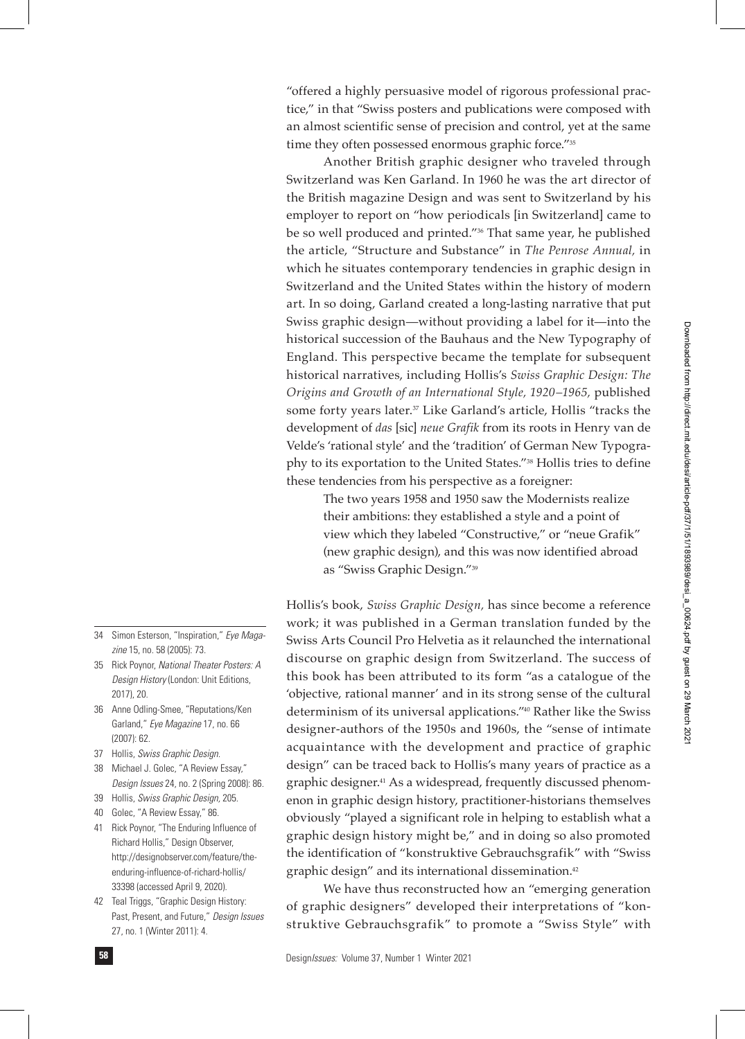"offered a highly persuasive model of rigorous professional practice," in that "Swiss posters and publications were composed with an almost scientific sense of precision and control, yet at the same time they often possessed enormous graphic force."35

Another British graphic designer who traveled through Switzerland was Ken Garland. In 1960 he was the art director of the British magazine Design and was sent to Switzerland by his employer to report on "how periodicals [in Switzerland] came to be so well produced and printed."36 That same year, he published the article, "Structure and Substance" in *The Penrose Annual,* in which he situates contemporary tendencies in graphic design in Switzerland and the United States within the history of modern art. In so doing, Garland created a long-lasting narrative that put Swiss graphic design—without providing a label for it—into the historical succession of the Bauhaus and the New Typography of England. This perspective became the template for subsequent historical narratives, including Hollis's *Swiss Graphic Design: The Origins and Growth of an International Style, 1920–1965,* published some forty years later.<sup>37</sup> Like Garland's article, Hollis "tracks the development of *das* [sic] *neue Grafik* from its roots in Henry van de Velde's 'rational style' and the 'tradition' of German New Typography to its exportation to the United States."38 Hollis tries to define these tendencies from his perspective as a foreigner:

The two years 1958 and 1950 saw the Modernists realize their ambitions: they established a style and a point of view which they labeled "Constructive," or "neue Grafik" (new graphic design), and this was now identified abroad as "Swiss Graphic Design."39

Hollis's book, *Swiss Graphic Design,* has since become a reference work; it was published in a German translation funded by the Swiss Arts Council Pro Helvetia as it relaunched the international discourse on graphic design from Switzerland. The success of this book has been attributed to its form "as a catalogue of the 'objective, rational manner' and in its strong sense of the cultural determinism of its universal applications."40 Rather like the Swiss designer-authors of the 1950s and 1960s, the "sense of intimate acquaintance with the development and practice of graphic design" can be traced back to Hollis's many years of practice as a graphic designer.41 As a widespread, frequently discussed phenomenon in graphic design history, practitioner-historians themselves obviously "played a significant role in helping to establish what a graphic design history might be," and in doing so also promoted the identification of "konstruktive Gebrauchsgrafik" with "Swiss graphic design" and its international dissemination.42

We have thus reconstructed how an "emerging generation of graphic designers" developed their interpretations of "konstruktive Gebrauchsgrafik" to promote a "Swiss Style" with

- 34 Simon Esterson, "Inspiration," *Eye Magazine* 15, no. 58 (2005): 73.
- 35 Rick Poynor, *National Theater Posters: A Design History* (London: Unit Editions, 2017), 20.
- 36 Anne Odling-Smee, "Reputations/Ken Garland," *Eye Magazine* 17, no. 66 (2007): 62.
- 37 Hollis, *Swiss Graphic Design.*
- 38 Michael J. Golec, "A Review Essay," *Design Issues* 24, no. 2 (Spring 2008): 86.
- 39 Hollis, *Swiss Graphic Design,* 205.
- 40 Golec, "A Review Essay," 86.
- 41 Rick Poynor, "The Enduring Influence of Richard Hollis," Design Observer, http://designobserver.com/feature/theenduring-influence-of-richard-hollis/ 33398 (accessed April 9, 2020).
- 42 Teal Triggs, "Graphic Design History: Past, Present, and Future," *Design Issues* 27, no. 1 (Winter 2011): 4.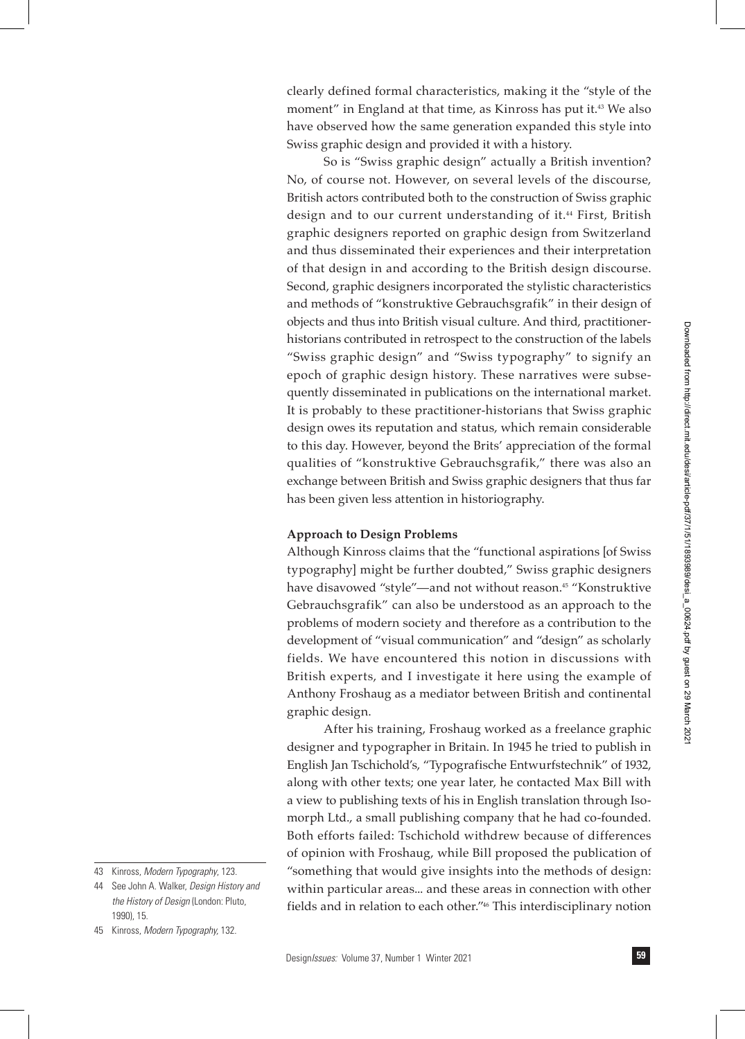clearly defined formal characteristics, making it the "style of the moment" in England at that time, as Kinross has put it.43 We also have observed how the same generation expanded this style into Swiss graphic design and provided it with a history.

So is "Swiss graphic design" actually a British invention? No, of course not. However, on several levels of the discourse, British actors contributed both to the construction of Swiss graphic design and to our current understanding of it.<sup>44</sup> First, British graphic designers reported on graphic design from Switzerland and thus disseminated their experiences and their interpretation of that design in and according to the British design discourse. Second, graphic designers incorporated the stylistic characteristics and methods of "konstruktive Gebrauchsgrafik" in their design of objects and thus into British visual culture. And third, practitionerhistorians contributed in retrospect to the construction of the labels "Swiss graphic design" and "Swiss typography" to signify an epoch of graphic design history. These narratives were subsequently disseminated in publications on the international market. It is probably to these practitioner-historians that Swiss graphic design owes its reputation and status, which remain considerable to this day. However, beyond the Brits' appreciation of the formal qualities of "konstruktive Gebrauchsgrafik," there was also an exchange between British and Swiss graphic designers that thus far has been given less attention in historiography.

#### **Approach to Design Problems**

Although Kinross claims that the "functional aspirations [of Swiss typography] might be further doubted," Swiss graphic designers have disavowed "style"—and not without reason.<sup>45</sup> "Konstruktive Gebrauchsgrafik" can also be understood as an approach to the problems of modern society and therefore as a contribution to the development of "visual communication" and "design" as scholarly fields. We have encountered this notion in discussions with British experts, and I investigate it here using the example of Anthony Froshaug as a mediator between British and continental graphic design.

After his training, Froshaug worked as a freelance graphic designer and typographer in Britain. In 1945 he tried to publish in English Jan Tschichold's, "Typografische Entwurfstechnik" of 1932, along with other texts; one year later, he contacted Max Bill with a view to publishing texts of his in English translation through Isomorph Ltd., a small publishing company that he had co-founded. Both efforts failed: Tschichold withdrew because of differences of opinion with Froshaug, while Bill proposed the publication of "something that would give insights into the methods of design: within particular areas... and these areas in connection with other fields and in relation to each other."46 This interdisciplinary notion

45 Kinross, *Modern Typography,* 132.

<sup>43</sup> Kinross, *Modern Typography*, 123.

<sup>44</sup> See John A. Walker, *Design History and the History of Design* (London: Pluto, 1990) 15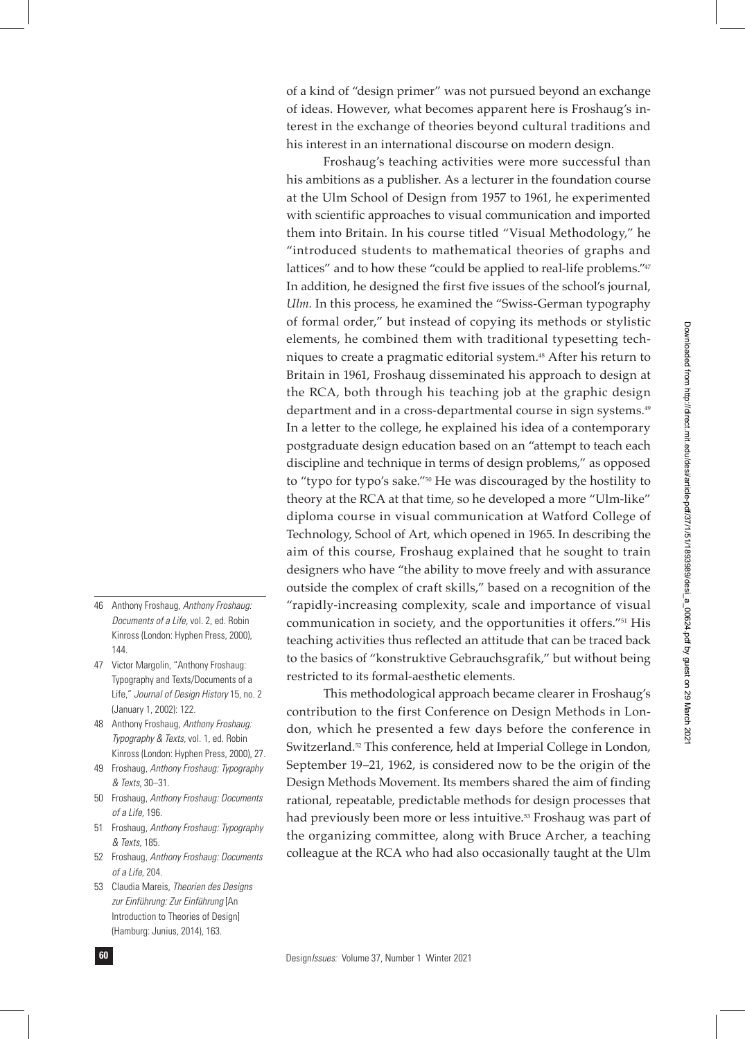of a kind of "design primer" was not pursued beyond an exchange of ideas. However, what becomes apparent here is Froshaug's interest in the exchange of theories beyond cultural traditions and his interest in an international discourse on modern design.

Froshaug's teaching activities were more successful than his ambitions as a publisher. As a lecturer in the foundation course at the Ulm School of Design from 1957 to 1961, he experimented with scientific approaches to visual communication and imported them into Britain. In his course titled "Visual Methodology," he "introduced students to mathematical theories of graphs and lattices" and to how these "could be applied to real-life problems."47 In addition, he designed the first five issues of the school's journal, *Ulm.* In this process, he examined the "Swiss-German typography of formal order," but instead of copying its methods or stylistic elements, he combined them with traditional typesetting techniques to create a pragmatic editorial system.<sup>48</sup> After his return to Britain in 1961, Froshaug disseminated his approach to design at the RCA, both through his teaching job at the graphic design department and in a cross-departmental course in sign systems.<sup>49</sup> In a letter to the college, he explained his idea of a contemporary postgraduate design education based on an "attempt to teach each discipline and technique in terms of design problems," as opposed to "typo for typo's sake."50 He was discouraged by the hostility to theory at the RCA at that time, so he developed a more "Ulm-like" diploma course in visual communication at Watford College of Technology, School of Art, which opened in 1965. In describing the aim of this course, Froshaug explained that he sought to train designers who have "the ability to move freely and with assurance outside the complex of craft skills," based on a recognition of the "rapidly-increasing complexity, scale and importance of visual communication in society, and the opportunities it offers."51 His teaching activities thus reflected an attitude that can be traced back to the basics of "konstruktive Gebrauchsgrafik," but without being restricted to its formal-aesthetic elements.

This methodological approach became clearer in Froshaug's contribution to the first Conference on Design Methods in London, which he presented a few days before the conference in Switzerland.<sup>52</sup> This conference, held at Imperial College in London, September 19–21, 1962, is considered now to be the origin of the Design Methods Movement. Its members shared the aim of finding rational, repeatable, predictable methods for design processes that had previously been more or less intuitive.<sup>53</sup> Froshaug was part of the organizing committee, along with Bruce Archer, a teaching colleague at the RCA who had also occasionally taught at the Ulm

- 46 Anthony Froshaug, *Anthony Froshaug: Documents of a Life,* vol. 2, ed. Robin Kinross (London: Hyphen Press, 2000), 144.
- 47 Victor Margolin, "Anthony Froshaug: Typography and Texts/Documents of a Life," *Journal of Design History* 15, no. 2 (January 1, 2002): 122.
- 48 Anthony Froshaug, *Anthony Froshaug: Typography & Texts,* vol. 1, ed. Robin Kinross (London: Hyphen Press, 2000), 27.
- 49 Froshaug, *Anthony Froshaug: Typography & Texts,* 30–31.
- 50 Froshaug, *Anthony Froshaug: Documents of a Life,* 196.
- 51 Froshaug, *Anthony Froshaug: Typography & Texts,* 185.
- 52 Froshaug, *Anthony Froshaug: Documents of a Life,* 204.
- 53 Claudia Mareis, *Theorien des Designs zur Einführung: Zur Einführung* [An Introduction to Theories of Design] (Hamburg: Junius, 2014), 163.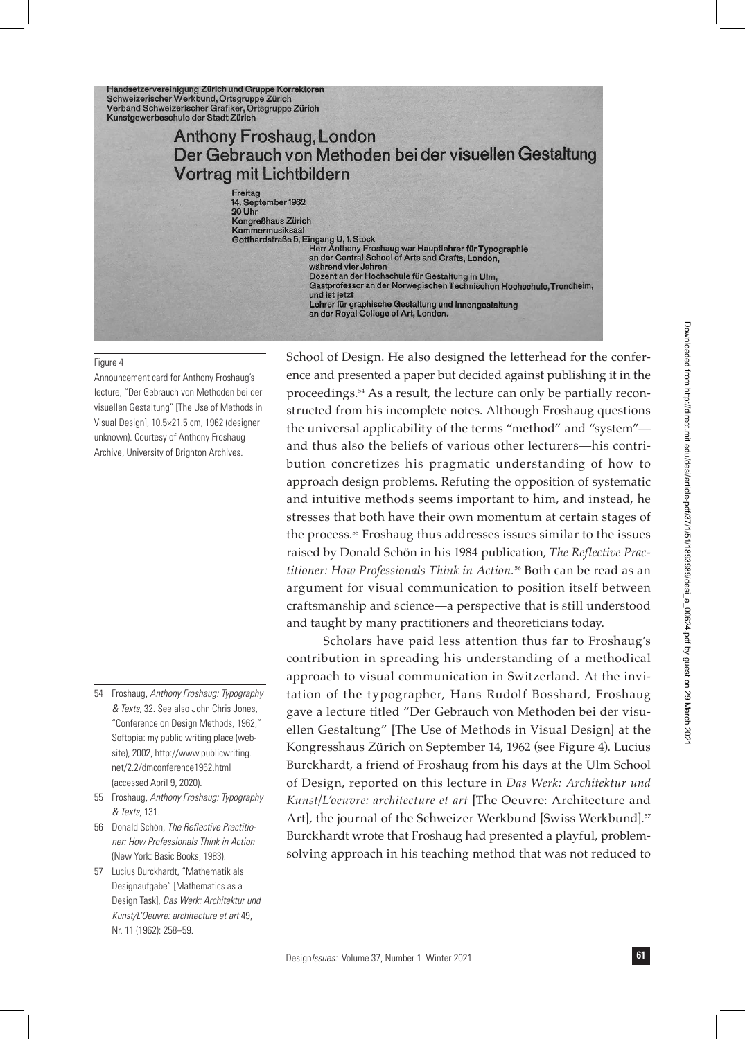Handsetzervereinigung Zürich und Gruppe Korrektoren Schweizerischer Werkbund, Ortsgruppe Zürich<br>Verband Schweizerischer Grafiker, Ortsgruppe Zürich Kunstgewerbeschule der Stadt Zürich

## **Anthony Froshaug, London** Der Gebrauch von Methoden bei der visuellen Gestaltung Vortrag mit Lichtbildern

Freitag<br>14. September 1962<br>20 Uhr Kongreßhaus Zürich<br>Kammermusiksaal Gotthardstraße 5, Eingang U, 1. Stock

Herr Anthony Froshaug war Hauptlehrer für Typographie<br>an der Central School of Arts and Crafts, London, während vier Jahren Dozent an der Hochschule für Gestaltung in Ulm, Gastprofessor an der Norwegischen Technischen Hochschule, Trondheim, und ist jetzt und ist jetzt<br>Lehrer für graphische Gestaltung und Innengestaltung<br>an der Royal College of Art, London.

#### Figure 4

Announcement card for Anthony Froshaug's lecture, "Der Gebrauch von Methoden bei der visuellen Gestaltung" [The Use of Methods in Visual Design], 10.5×21.5 cm, 1962 (designer unknown). Courtesy of Anthony Froshaug Archive, University of Brighton Archives.

- 54 Froshaug, *Anthony Froshaug: Typography & Texts,* 32. See also John Chris Jones, "Conference on Design Methods, 1962," Softopia: my public writing place (website), 2002, http://www.publicwriting. net/2.2/dmconference1962.html (accessed April 9, 2020).
- 55 Froshaug, *Anthony Froshaug: Typography & Texts,* 131.
- 56 Donald Schön, *The Reflective Practitioner: How Professionals Think in Action* (New York: Basic Books, 1983).
- 57 Lucius Burckhardt, "Mathematik als Designaufgabe" [Mathematics as a Design Task], *Das Werk: Architektur und Kunst/L'Oeuvre: architecture et art* 49, Nr. 11 (1962): 258–59.

School of Design. He also designed the letterhead for the conference and presented a paper but decided against publishing it in the proceedings.54 As a result, the lecture can only be partially reconstructed from his incomplete notes. Although Froshaug questions the universal applicability of the terms "method" and "system" and thus also the beliefs of various other lecturers—his contribution concretizes his pragmatic understanding of how to approach design problems. Refuting the opposition of systematic and intuitive methods seems important to him, and instead, he stresses that both have their own momentum at certain stages of the process.55 Froshaug thus addresses issues similar to the issues raised by Donald Schön in his 1984 publication, *The Reflective Practitioner: How Professionals Think in Action.*56 Both can be read as an argument for visual communication to position itself between craftsmanship and science—a perspective that is still understood and taught by many practitioners and theoreticians today.

Scholars have paid less attention thus far to Froshaug's contribution in spreading his understanding of a methodical approach to visual communication in Switzerland. At the invitation of the typographer, Hans Rudolf Bosshard, Froshaug gave a lecture titled "Der Gebrauch von Methoden bei der visuellen Gestaltung" [The Use of Methods in Visual Design] at the Kongresshaus Zürich on September 14, 1962 (see Figure 4). Lucius Burckhardt, a friend of Froshaug from his days at the Ulm School of Design, reported on this lecture in *Das Werk: Architektur und Kunst/L'oeuvre: architecture et art* [The Oeuvre: Architecture and Art], the journal of the Schweizer Werkbund [Swiss Werkbund].<sup>57</sup> Burckhardt wrote that Froshaug had presented a playful, problemsolving approach in his teaching method that was not reduced to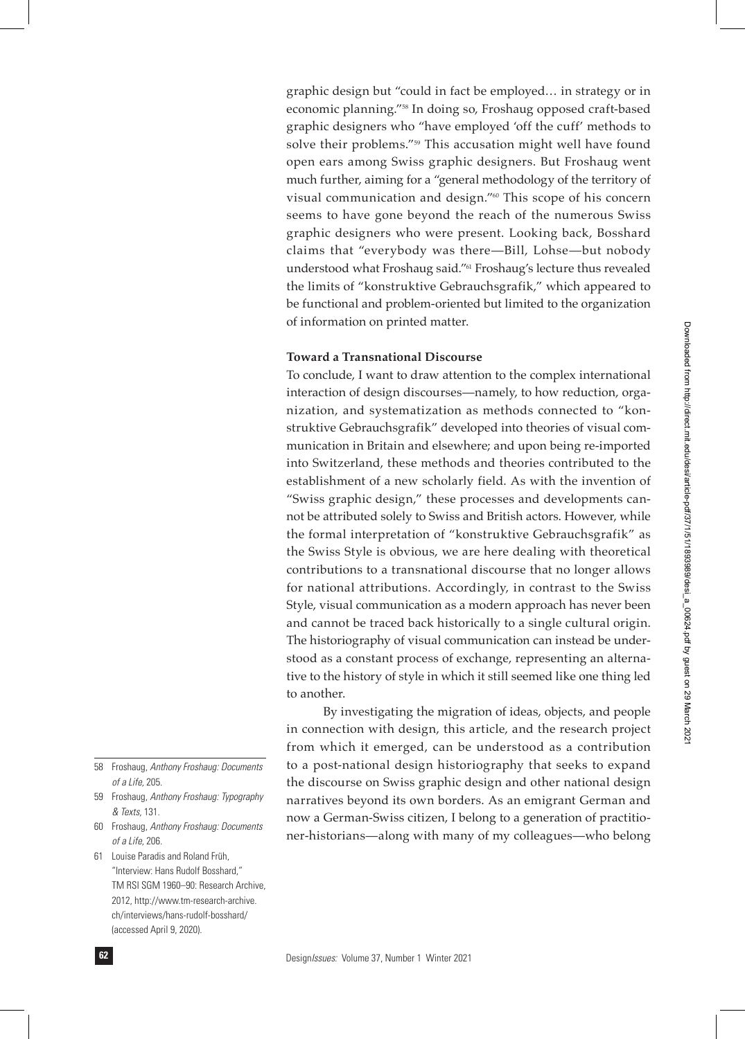graphic design but "could in fact be employed… in strategy or in economic planning."58 In doing so, Froshaug opposed craft-based graphic designers who "have employed 'off the cuff' methods to solve their problems."59 This accusation might well have found open ears among Swiss graphic designers. But Froshaug went much further, aiming for a "general methodology of the territory of visual communication and design."60 This scope of his concern seems to have gone beyond the reach of the numerous Swiss graphic designers who were present. Looking back, Bosshard claims that "everybody was there—Bill, Lohse—but nobody understood what Froshaug said."61 Froshaug's lecture thus revealed the limits of "konstruktive Gebrauchsgrafik," which appeared to be functional and problem-oriented but limited to the organization of information on printed matter.

#### **Toward a Transnational Discourse**

To conclude, I want to draw attention to the complex international interaction of design discourses—namely, to how reduction, organization, and systematization as methods connected to "konstruktive Gebrauchsgrafik" developed into theories of visual communication in Britain and elsewhere; and upon being re-imported into Switzerland, these methods and theories contributed to the establishment of a new scholarly field. As with the invention of "Swiss graphic design," these processes and developments cannot be attributed solely to Swiss and British actors. However, while the formal interpretation of "konstruktive Gebrauchsgrafik" as the Swiss Style is obvious, we are here dealing with theoretical contributions to a transnational discourse that no longer allows for national attributions. Accordingly, in contrast to the Swiss Style, visual communication as a modern approach has never been and cannot be traced back historically to a single cultural origin. The historiography of visual communication can instead be understood as a constant process of exchange, representing an alternative to the history of style in which it still seemed like one thing led to another.

By investigating the migration of ideas, objects, and people in connection with design, this article, and the research project from which it emerged, can be understood as a contribution to a post-national design historiography that seeks to expand the discourse on Swiss graphic design and other national design narratives beyond its own borders. As an emigrant German and now a German-Swiss citizen, I belong to a generation of practitioner-historians—along with many of my colleagues—who belong

- 58 Froshaug, *Anthony Froshaug: Documents of a Life,* 205.
- 59 Froshaug, *Anthony Froshaug: Typography & Texts,* 131.
- 60 Froshaug, *Anthony Froshaug: Documents of a Life,* 206.
- 61 Louise Paradis and Roland Früh, "Interview: Hans Rudolf Bosshard," TM RSI SGM 1960–90: Research Archive, 2012, http://www.tm-research-archive. ch/interviews/hans-rudolf-bosshard/ (accessed April 9, 2020).